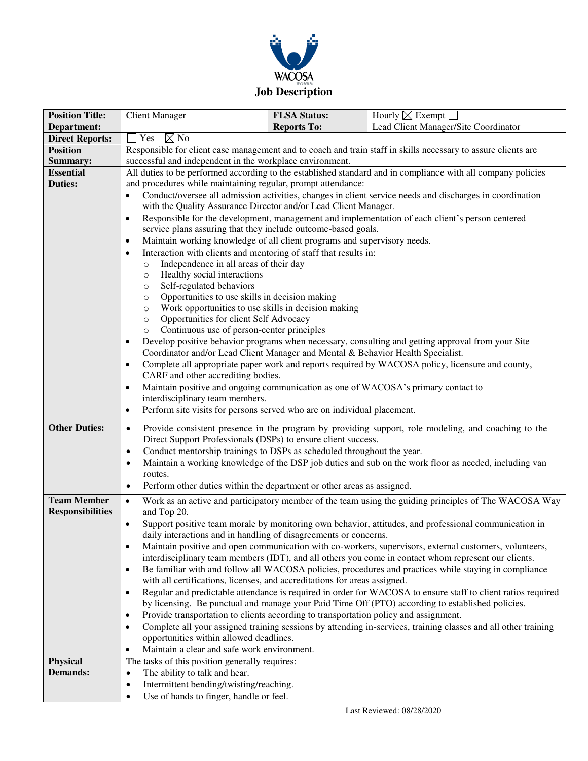

| <b>Position Title:</b>      | <b>Client Manager</b>                                                                                                       | <b>FLSA Status:</b> | Hourly $\boxtimes$ Exempt                                                                                    |  |
|-----------------------------|-----------------------------------------------------------------------------------------------------------------------------|---------------------|--------------------------------------------------------------------------------------------------------------|--|
| Department:                 |                                                                                                                             | <b>Reports To:</b>  | Lead Client Manager/Site Coordinator                                                                         |  |
| <b>Direct Reports:</b>      | Yes<br>$\boxtimes$ No                                                                                                       |                     |                                                                                                              |  |
| <b>Position</b>             | Responsible for client case management and to coach and train staff in skills necessary to assure clients are               |                     |                                                                                                              |  |
| Summary:                    | successful and independent in the workplace environment.                                                                    |                     |                                                                                                              |  |
| <b>Essential</b>            | All duties to be performed according to the established standard and in compliance with all company policies                |                     |                                                                                                              |  |
| <b>Duties:</b>              | and procedures while maintaining regular, prompt attendance:                                                                |                     |                                                                                                              |  |
|                             | Conduct/oversee all admission activities, changes in client service needs and discharges in coordination<br>$\bullet$       |                     |                                                                                                              |  |
|                             | with the Quality Assurance Director and/or Lead Client Manager.                                                             |                     |                                                                                                              |  |
|                             | Responsible for the development, management and implementation of each client's person centered<br>$\bullet$                |                     |                                                                                                              |  |
|                             | service plans assuring that they include outcome-based goals.                                                               |                     |                                                                                                              |  |
|                             | Maintain working knowledge of all client programs and supervisory needs.<br>$\bullet$                                       |                     |                                                                                                              |  |
|                             | Interaction with clients and mentoring of staff that results in:<br>٠<br>Independence in all areas of their day<br>$\circ$  |                     |                                                                                                              |  |
|                             | Healthy social interactions<br>$\circ$                                                                                      |                     |                                                                                                              |  |
|                             | Self-regulated behaviors<br>$\circ$                                                                                         |                     |                                                                                                              |  |
|                             | Opportunities to use skills in decision making<br>$\circ$                                                                   |                     |                                                                                                              |  |
|                             | Work opportunities to use skills in decision making<br>$\circ$                                                              |                     |                                                                                                              |  |
|                             | Opportunities for client Self Advocacy<br>$\circ$                                                                           |                     |                                                                                                              |  |
|                             | Continuous use of person-center principles<br>$\circ$                                                                       |                     |                                                                                                              |  |
|                             | Develop positive behavior programs when necessary, consulting and getting approval from your Site<br>$\bullet$              |                     |                                                                                                              |  |
|                             | Coordinator and/or Lead Client Manager and Mental & Behavior Health Specialist.                                             |                     |                                                                                                              |  |
|                             | Complete all appropriate paper work and reports required by WACOSA policy, licensure and county,<br>$\bullet$               |                     |                                                                                                              |  |
|                             | CARF and other accrediting bodies.                                                                                          |                     |                                                                                                              |  |
|                             | Maintain positive and ongoing communication as one of WACOSA's primary contact to<br>$\bullet$                              |                     |                                                                                                              |  |
|                             | interdisciplinary team members.<br>Perform site visits for persons served who are on individual placement.<br>$\bullet$     |                     |                                                                                                              |  |
|                             |                                                                                                                             |                     |                                                                                                              |  |
| <b>Other Duties:</b>        | Provide consistent presence in the program by providing support, role modeling, and coaching to the<br>$\bullet$            |                     |                                                                                                              |  |
|                             | Direct Support Professionals (DSPs) to ensure client success.                                                               |                     |                                                                                                              |  |
|                             | Conduct mentorship trainings to DSPs as scheduled throughout the year.<br>$\bullet$                                         |                     |                                                                                                              |  |
|                             | Maintain a working knowledge of the DSP job duties and sub on the work floor as needed, including van<br>$\bullet$          |                     |                                                                                                              |  |
|                             | routes.<br>Perform other duties within the department or other areas as assigned.                                           |                     |                                                                                                              |  |
|                             | $\bullet$                                                                                                                   |                     |                                                                                                              |  |
| <b>Team Member</b>          | Work as an active and participatory member of the team using the guiding principles of The WACOSA Way<br>$\bullet$          |                     |                                                                                                              |  |
| <b>Responsibilities</b>     | and Top 20.<br>Support positive team morale by monitoring own behavior, attitudes, and professional communication in        |                     |                                                                                                              |  |
|                             | $\bullet$<br>daily interactions and in handling of disagreements or concerns.                                               |                     |                                                                                                              |  |
|                             |                                                                                                                             |                     | Maintain positive and open communication with co-workers, supervisors, external customers, volunteers,       |  |
|                             |                                                                                                                             |                     | interdisciplinary team members (IDT), and all others you come in contact whom represent our clients.         |  |
|                             | $\bullet$                                                                                                                   |                     | Be familiar with and follow all WACOSA policies, procedures and practices while staying in compliance        |  |
|                             | with all certifications, licenses, and accreditations for areas assigned.                                                   |                     |                                                                                                              |  |
|                             | $\bullet$                                                                                                                   |                     | Regular and predictable attendance is required in order for WACOSA to ensure staff to client ratios required |  |
|                             |                                                                                                                             |                     | by licensing. Be punctual and manage your Paid Time Off (PTO) according to established policies.             |  |
|                             | Provide transportation to clients according to transportation policy and assignment.<br>$\bullet$                           |                     |                                                                                                              |  |
|                             | Complete all your assigned training sessions by attending in-services, training classes and all other training<br>$\bullet$ |                     |                                                                                                              |  |
|                             | opportunities within allowed deadlines.                                                                                     |                     |                                                                                                              |  |
|                             | Maintain a clear and safe work environment.<br>$\bullet$                                                                    |                     |                                                                                                              |  |
| Physical<br><b>Demands:</b> | The tasks of this position generally requires:                                                                              |                     |                                                                                                              |  |
|                             | The ability to talk and hear.<br>$\bullet$<br>Intermittent bending/twisting/reaching.<br>٠                                  |                     |                                                                                                              |  |
|                             | Use of hands to finger, handle or feel.                                                                                     |                     |                                                                                                              |  |
|                             |                                                                                                                             |                     |                                                                                                              |  |